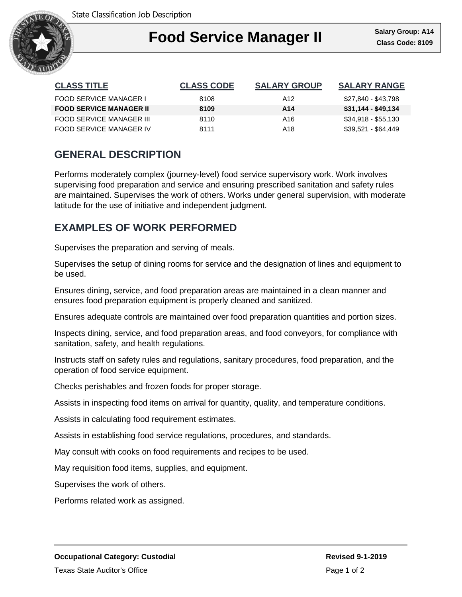

### I **Food Service Manager II**

| <b>CLASS TITLE</b>             | <b>CLASS CODE</b> | <b>SALARY GROUP</b> | <b>SALARY RANGE</b> |
|--------------------------------|-------------------|---------------------|---------------------|
| <b>FOOD SERVICE MANAGER I</b>  | 8108              | A12                 | \$27,840 - \$43,798 |
| <b>FOOD SERVICE MANAGER II</b> | 8109              | A14                 | \$31,144 - \$49,134 |
| FOOD SERVICE MANAGER III       | 8110              | A16                 | \$34,918 - \$55,130 |
| FOOD SERVICE MANAGER IV        | 8111              | A18                 | \$39,521 - \$64,449 |

## **GENERAL DESCRIPTION**

Performs moderately complex (journey-level) food service supervisory work. Work involves supervising food preparation and service and ensuring prescribed sanitation and safety rules are maintained. Supervises the work of others. Works under general supervision, with moderate latitude for the use of initiative and independent judgment.

### **EXAMPLES OF WORK PERFORMED**

Supervises the preparation and serving of meals.

Supervises the setup of dining rooms for service and the designation of lines and equipment to be used.

Ensures dining, service, and food preparation areas are maintained in a clean manner and ensures food preparation equipment is properly cleaned and sanitized.

Ensures adequate controls are maintained over food preparation quantities and portion sizes.

Inspects dining, service, and food preparation areas, and food conveyors, for compliance with sanitation, safety, and health regulations.

Instructs staff on safety rules and regulations, sanitary procedures, food preparation, and the operation of food service equipment.

Checks perishables and frozen foods for proper storage.

Assists in inspecting food items on arrival for quantity, quality, and temperature conditions.

Assists in calculating food requirement estimates.

Assists in establishing food service regulations, procedures, and standards.

May consult with cooks on food requirements and recipes to be used.

May requisition food items, supplies, and equipment.

Supervises the work of others.

Performs related work as assigned.